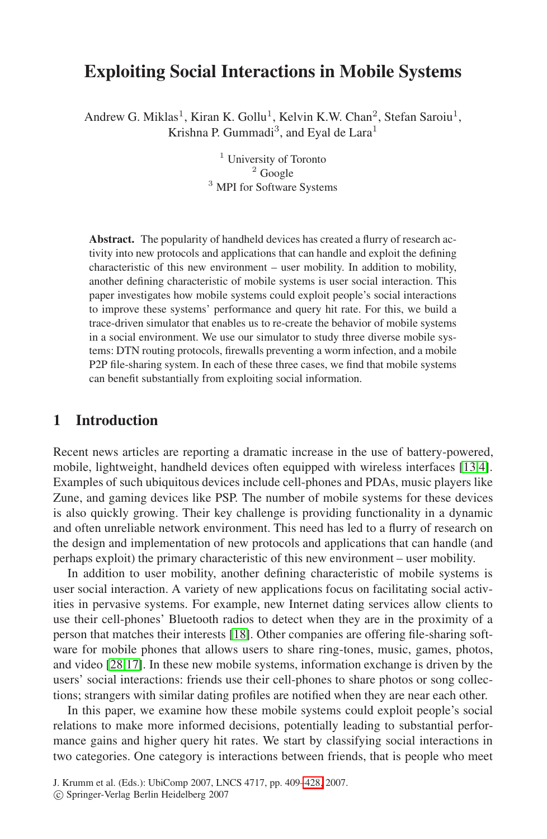# **Exploiting Social Interactions in Mobile Systems**

Andrew G. Miklas<sup>1</sup>, Kiran K. Gollu<sup>1</sup>, Kelvin K.W. Chan<sup>2</sup>, Stefan Saroiu<sup>1</sup>, Krishna P. Gummadi<sup>3</sup>, and Eyal de Lara<sup>1</sup>

> <sup>1</sup> University of Toronto <sup>2</sup> Google <sup>3</sup> MPI for Software Systems

**Abstract.** The popularity of handheld devices has created a flurry of research activity into new protocols and applications that can handle and exploit the defining characteristic of this new environment – user mobility. In addition to mobility, another defining characteristic of mobile systems is user social interaction. This paper investigates how mobile systems could exploit people's social interactions to improve these systems' performance and query hit rate. For this, we build a trace-driven simulator that enables us to re-create the behavior of mobile systems in a social environment. We use our simulator to study three diverse mobile systems: DTN routing protocols, firewalls preventing a worm i[nfe](#page-18-0)[cti](#page-18-1)on, and a mobile P2P file-sharing system. In each of these three cases, we find that mobile systems can benefit substantially from exploiting social information.

# **1 Introduction**

Recent news articles are reporting a dramatic increase in the use of battery-powered, mobile, lightweight, handheld devices often equipped with wireless interfaces [13,4]. Examples of such ubiquitous devices include cell-phones and PDAs, music players like Zune, and gaming devices like PSP. The number of mobile systems for these devices is also quickl[y gr](#page-18-2)owing. Their key challenge is providing functionality in a dynamic and often unreliable network environment. This need has led to a flurry of research on the design and implementation of new protocols and applications that can handle (and perhaps exploit) the primary characteristic of this new environment – user mobility.

In addition to user mobility, another defining characteristic of mobile systems is user social interaction. A variety of new applications focus on facilitating social activities in pervasive systems. For example, new Internet dating services allow clients to use their cell-phones' Bluetooth radios to detect when they are in the proximity of a person that matches their interests [18]. Other companies are offering file-sharing software for mobile phones that allows users to share ring-tones, music, games, photos, and video [28,17]. In these [new m](#page-19-0)obile systems, information exchange is driven by the users' social interactions: friends use their cell-phones to share photos or song collections; strangers with similar dating profiles are notified when they are near each other.

In this paper, we examine how these mobile systems could exploit people's social relations to make more informed decisions, potentially leading to substantial performance gains and higher query hit rates. We start by classifying social interactions in two categories. One category is interactions between friends, that is people who meet

J. Krumm et al. (Eds.): UbiComp 2007, LNCS 4717, pp. 409–428, 2007.

c Springer-Verlag Berlin Heidelberg 2007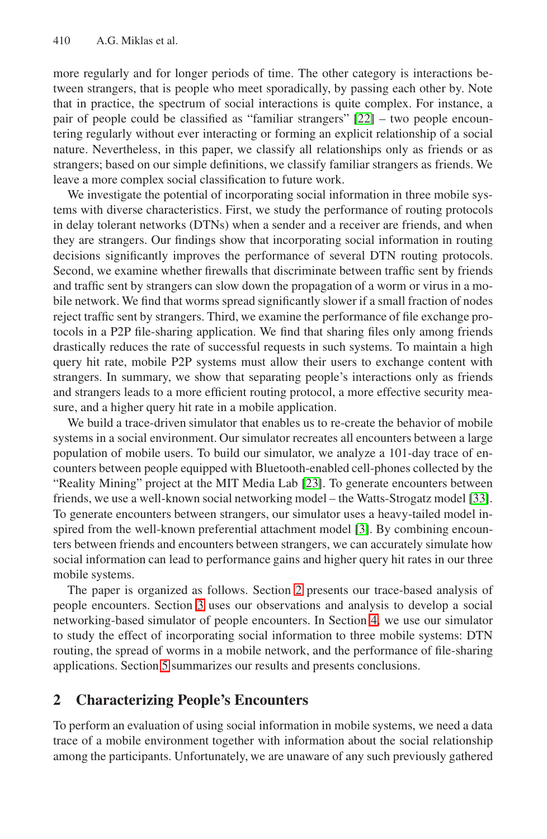more regularly and for longer periods of time. The other category is interactions between strangers, that is people who meet sporadically, by passing each other by. Note that in practice, the spectrum of social interactions is quite complex. For instance, a pair of people could be classified as "familiar strangers" [22] – two people encountering regularly without ever interacting or forming an explicit relationship of a social nature. Nevertheless, in this paper, we classify all relationships only as friends or as strangers; based on our simple definitions, we classify familiar strangers as friends. We leave a more complex social classification to future work.

We investigate the potential of incorporating social information in three mobile systems with diverse characteristics. First, we study the performance of routing protocols in delay tolerant networks (DTNs) when a sender and a receiver are friends, and when they are strangers. Our findings show that incorporating social information in routing decisions significantly improves the performance of several DTN routing protocols. Second, we examine whether firewalls that discriminate between traffic sent by friends and traffic sent by strangers can slow down the propagation of a worm or virus in a mobile network. We find that worms spread significantly slower if a small fraction of nodes reject traffic sent by strangers. Third, we examine the performance of file exchange protocols in a P2P file-sharing application. We find that sharing files only among friends drastically reduces the rate of successful requests in such systems. To maintain a high query hit rate, mobile P2P [syst](#page-19-1)ems must allow their users to exchange content with strangers. In summary, we show that separating people's int[erac](#page-19-2)tions only as friends and strangers leads to a more efficient routing protocol, a more effective security measure, and a higher query hit rate in a m[ob](#page-18-3)ile application.

We build a trace-driven simulator that enables us to re-create the behavior of mobile systems in a social environment. Our simulator recreates all encounters between a large population of mobile users. To build our simulator, we analyze a 101-day trace of encounters between people e[qu](#page-1-0)ipped with Bluetooth-enabled cell-phones collected by the "Realit[y M](#page-8-0)ining" project at the MIT Media Lab [23]. To generate encounters between friends, we use a well-known social netw[ork](#page-11-0)ing model – the Watts-Strogatz model [33]. To generate encounters between strangers, our simulator uses a heavy-tailed model inspired from the well-known preferential attachment model [3]. By combining encoun[ter](#page-17-0)s between friends and encounters between strangers, we can accurately simulate how social information can lead to performance gains and higher query hit rates in our three mobile systems.

<span id="page-1-0"></span>The paper is organized as follows. Section 2 presents our trace-based analysis of people encounters. Section 3 uses our observations and analysis to develop a social networking-based simulator of people encounters. In Section 4, we use our simulator to study the effect of incorporating social information to three mobile systems: DTN routing, the spread of worms in a mobile network, and the performance of file-sharing applications. Section 5 summarizes our results and presents conclusions.

# **2 Characterizing People's Encounters**

To perform an evaluation of using social information in mobile systems, we need a data trace of a mobile environment together with information about the social relationship among the participants. Unfortunately, we are unaware of any such previously gathered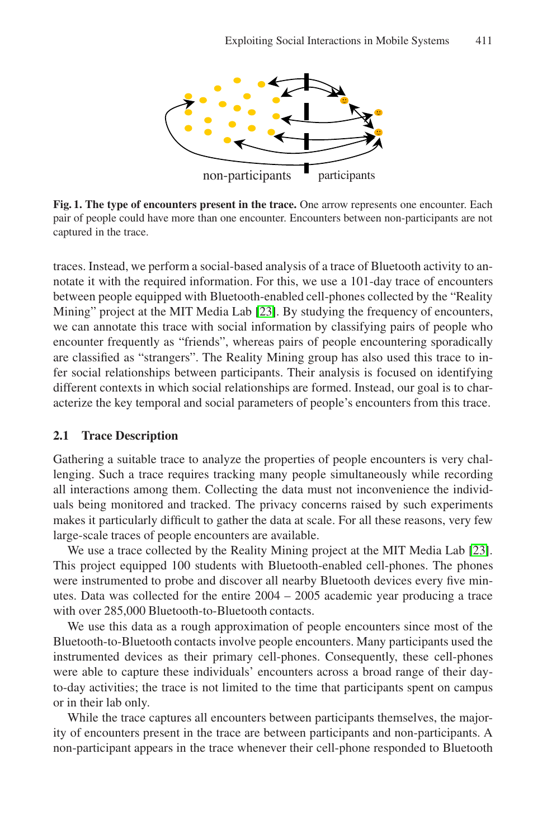

**Fig. 1. The type of e[ncou](#page-19-1)nters present in the trace.** One arrow represents one encounter. Each pair of people could have more than one encounter. Encounters between non-participants are not captured in the trace.

traces. Instead, we perform a social-based analysis of a trace of Bluetooth activity to annotate it with the required information. For this, we use a 101-day trace of encounters between people equipped with Bluetooth-enabled cell-phones collected by the "Reality Mining" project at the MIT Media Lab [23]. By studying the frequency of encounters, we can annotate this trace with social information by classifying pairs of people who encounter frequently as "friends", whereas pairs of people encountering sporadically are classified as "strangers". The Reality Mining group has also used this trace to infer social relationships between participants. Their analysis is focused on identifying different contexts in which social relationships are formed. Instead, our goal is to characterize the key temporal and social parameters of people's encounters from this trace.

#### **2.1 Trace Description**

Gathering a suitable trace to analyze the properties of people encounters is very challenging. Such a trace requires tracking many people simultaneously while recording all interactions among them. Collecting the data must not inconvenience the individuals being monitored and tracked. The privacy concerns raised by such experiments makes it particularly difficult to gather the data at scale. For all these reasons, very few large-scale traces of people encounters are available.

We use a trace collected by the Reality Mining project at the MIT Media Lab [23]. This project equipped 100 students with Bluetooth-enabled cell-phones. The phones were instrumented to probe and discover all nearby Bluetooth devices every five minutes. Data was collected for the entire 2004 – 2005 academic year producing a trace with over 285,000 Bluetooth-to-Bluetooth contacts.

We use this data as a rough approximation of people encounters since most of the Bluetooth-to-Bluetooth contacts involve people encounters. Many participants used the instrumented devices as their primary cell-phones. Consequently, these cell-phones were able to capture these individuals' encounters across a broad range of their dayto-day activities; the trace is not limited to the time that participants spent on campus or in their lab only.

While the trace captures all encounters between participants themselves, the majority of encounters present in the trace are between participants and non-participants. A non-participant appears in the trace whenever their cell-phone responded to Bluetooth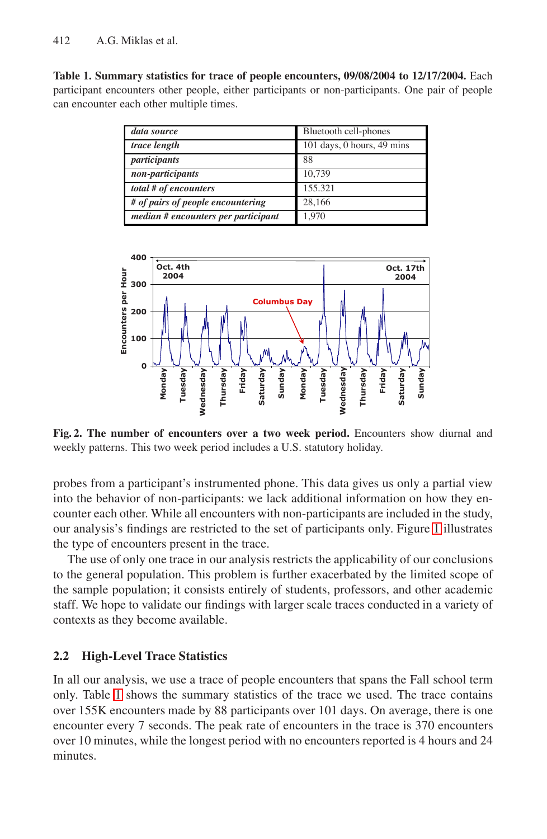**Table 1. Summary statistics for trace of people encounters, 09/08/2004 to 12/17/2004.** Each participant encounters other people, either participants or non-participants. One pair of people can encounter each other multiple times.

| data source                         | Bluetooth cell-phones      |
|-------------------------------------|----------------------------|
| trace length                        | 101 days, 0 hours, 49 mins |
| participants                        | 88                         |
| non-participants                    | 10,739                     |
| total # of encounters               | 155.321                    |
| # of pairs of people encountering   | 28,166                     |
| median # encounters per participant | 1.970                      |



**Fig. 2. The number of encounters over a two week period.** Encounters show diurnal and weekly patterns. This two week period includes a U.S. statutory holiday.

probes from a participant's instrumented phone. This data gives us only a partial view into the behavior of non-participants: we lack additional information on how they encounter each other. While all encounters with non-participants are included in the study, our analysis's findings are restricted to the set of participants only. Figure 1 illustrates the type of encounters present in the trace.

The use of only one trace in our analysis restricts the applicability of our conclusions to the general population. This problem is further exacerbated by the limited scope of the sample population; it consists entirely of students, professors, and other academic staff. We hope to validate our findings with larger scale traces conducted in a variety of contexts as they become available.

### **2.2 High-Level Trace Statistics**

In all our analysis, we use a trace of people encounters that spans the Fall school term only. Table 1 shows the summary statistics of the trace we used. The trace contains over 155K encounters made by 88 participants over 101 days. On average, there is one encounter every 7 seconds. The peak rate of encounters in the trace is 370 encounters over 10 minutes, while the longest period with no encounters reported is 4 hours and 24 minutes.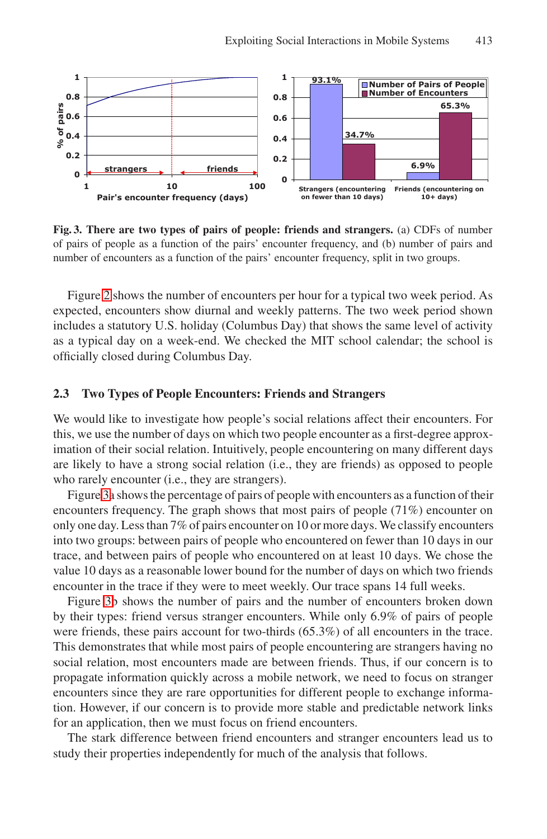

**Fig. 3. There are two types of pairs of people: friends and strangers.** (a) CDFs of number of pairs of people as a function of the pairs' encounter frequency, and (b) number of pairs and number of encounters as a function of the pairs' encounter frequency, split in two groups.

Figure 2 shows the number of encounters per hour for a typical two week period. As expected, encounters show diurnal and weekly patterns. The two week period shown includes a statutory U.S. holiday (Columbus Day) that shows the same level of activity as a typical day on a week-end. We checked the MIT school calendar; the school is officially closed during Columbus Day.

# **2.3 Two Types of People Encounters: Friends and Strangers**

We would like to investigate how people's social relations affect their encounters. For this, we use the number of days on which two people encounter as a first-degree approximation of their social relation. Intuitively, people encountering on many different days are likely to have a strong social relation (i.e., they are friends) as opposed to people who rarely encounter (i.e., they are strangers).

Figure 3a shows the percentage of pairs of people with encounters as a function of their encounters frequency. The graph shows that most pairs of people (71%) encounter on only one day. Less than 7% of pairs encounter on 10 or more days. We classify encounters into two groups: between pairs of people who encountered on fewer than 10 days in our trace, and between pairs of people who encountered on at least 10 days. We chose the value 10 days as a reasonable lower bound for the number of days on which two friends encounter in the trace if they were to meet weekly. Our trace spans 14 full weeks.

Figure 3b shows the number of pairs and the number of encounters broken down by their types: friend versus stranger encounters. While only 6.9% of pairs of people were friends, these pairs account for two-thirds (65.3%) of all encounters in the trace. This demonstrates that while most pairs of people encountering are strangers having no social relation, most encounters made are between friends. Thus, if our concern is to propagate information quickly across a mobile network, we need to focus on stranger encounters since they are rare opportunities for different people to exchange information. However, if our concern is to provide more stable and predictable network links for an application, then we must focus on friend encounters.

The stark difference between friend encounters and stranger encounters lead us to study their properties independently for much of the analysis that follows.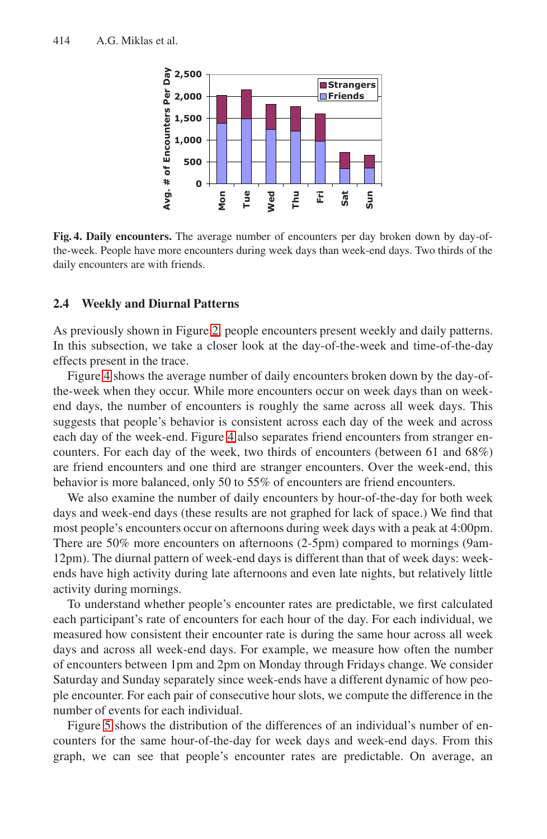

<span id="page-5-0"></span>**Fig. 4. Daily encounters.** The average number of encounters per day broken down by day-ofthe-week. People have more encounters during week days than week-end days. Two thirds of the daily encounters are with friends.

### **2.4 Weekly and Diurnal Patterns**

As previousl[y](#page-5-0) [s](#page-5-0)hown in Figure 2, people encounters present weekly and daily patterns. In this subsection, we take a closer look at the day-of-the-week and time-of-the-day effects present in the trace.

Figure 4 shows the average number of daily encounters broken down by the day-ofthe-week when they occur. While more encounters occur on week days than on weekend days, the number of encounters is roughly the same across all week days. This suggests that people's behavior is consistent across each day of the week and across each day of the week-end. Figure 4 also separates friend encounters from stranger encounters. For each day of the week, two thirds of encounters (between 61 and 68%) are friend encounters and one third are stranger encounters. Over the week-end, this behavior is more balanced, only 50 to 55% of encounters are friend encounters.

We also examine the number of daily encounters by hour-of-the-day for both week days and week-end days (these results are not graphed for lack of space.) We find that most people's encounters occur on afternoons during week days with a peak at 4:00pm. There are 50% more encounters on afternoons (2-5pm) compared to mornings (9am-12pm). The diurnal pattern of week-end days is different than that of week days: weekends have high activity during late afternoons and even late nights, but relatively little activity during mornings.

To understand whether people's encounter rates are predictable, we first calculated each participant's rate of encounters for each hour of the day. For each individual, we measured how consistent their encounter rate is during the same hour across all week days and across all week-end days. For example, we measure how often the number of encounters between 1pm and 2pm on Monday through Fridays change. We consider Saturday and Sunday separately since week-ends have a different dynamic of how people encounter. For each pair of consecutive hour slots, we compute the difference in the number of events for each individual.

Figure 5 shows the distribution of the differences of an individual's number of encounters for the same hour-of-the-day for week days and week-end days. From this graph, we can see that people's encounter rates are predictable. On average, an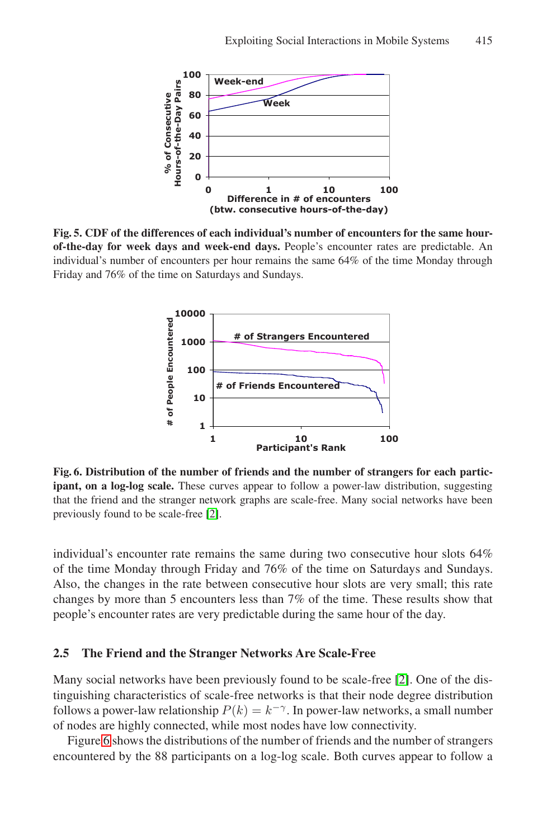

**Fig. 5. CDF of the differences of each individual's number of encounters for the same hourof-the-day for week days and week-end days.** People's encounter rates are predictable. An individual's number of encounters per hour remains the same 64% of the time Monday through Friday and 76% of the time on Saturdays and Sundays.



**Fig. 6. Distribution of the number of friends and the number of strangers for each participant, on a log-log scale.** These curves appear to follow a power-law distribution, suggesting that the friend and the stranger network graphs are scale-free. Many social networks have been previously found to be scale-free [2].

individual's encounter rate remains the same during two consecutive hour slots 64% of the time Monday through Friday and 76% [of](#page-18-4) the time on Saturdays and Sundays. Also, the changes in the rate between consecutive hour slots are very small; this rate changes by more than 5 encounters less than 7% of the time. These results show that people's encounter rates are very predictable during the same hour of the day.

# **2.5 The Friend and the Stranger Networks Are Scale-Free**

Many social networks have been previously found to be scale-free [2]. One of the distinguishing characteristics of scale-free networks is that their node degree distribution follows a power-law relationship  $P(k) = k^{-\gamma}$ . In power-law networks, a small number of nodes are highly connected, while most nodes have low connectivity.

Figure 6 shows the distributions of the number of friends and the number of strangers encountered by the 88 participants on a log-log scale. Both curves appear to follow a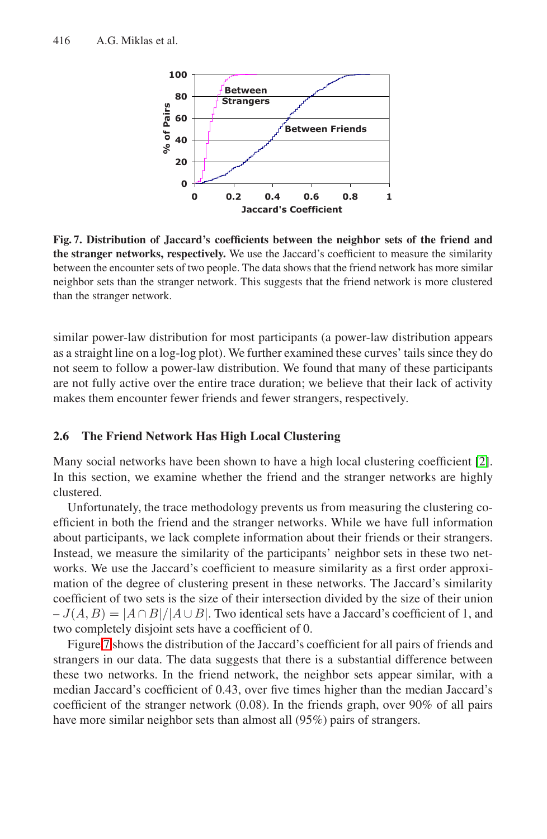

**Fig. 7. Distribution of Jaccard's coefficients between the neighbor sets of the friend and the stranger networks, respectively.** We use the Jaccard's coefficient to measure the similarity between the encounter sets of two people. The data shows that the friend network has more similar neighbor sets than the stranger network. This suggests that the friend network is more clustered than the stranger network.

similar power-law distribution for most participants (a power-[law](#page-18-4) distribution appears as a straight line on a log-log plot). We further examined these curves' tails since they do not seem to follow a power-law distribution. We found that many of these participants are not fully active over the entire trace duration; we believe that their lack of activity makes them encounter fewer friends and fewer strangers, respectively.

# **2.6 The Friend Network Has High Local Clustering**

Many social networks have been shown to have a high local clustering coefficient [2]. In this section, we examine whether the friend and the stranger networks are highly clustered.

Unfortunately, the trace methodology prevents us from measuring the clustering coefficient in both the friend and the stranger networks. While we have full information about participants, we lack complete information about their friends or their strangers. Instead, we measure the similarity of the participants' neighbor sets in these two networks. We use the Jaccard's coefficient to measure similarity as a first order approximation of the degree of clustering present in these networks. The Jaccard's similarity coefficient of two sets is the size of their intersection divided by the size of their union  $-J(A, B) = |A \cap B|/|A \cup B|$ . Two identical sets have a Jaccard's coefficient of 1, and two completely disjoint sets have a coefficient of 0.

Figure 7 shows the distribution of the Jaccard's coefficient for all pairs of friends and strangers in our data. The data suggests that there is a substantial difference between these two networks. In the friend network, the neighbor sets appear similar, with a median Jaccard's coefficient of 0.43, over five times higher than the median Jaccard's coefficient of the stranger network (0.08). In the friends graph, over 90% of all pairs have more similar neighbor sets than almost all (95%) pairs of strangers.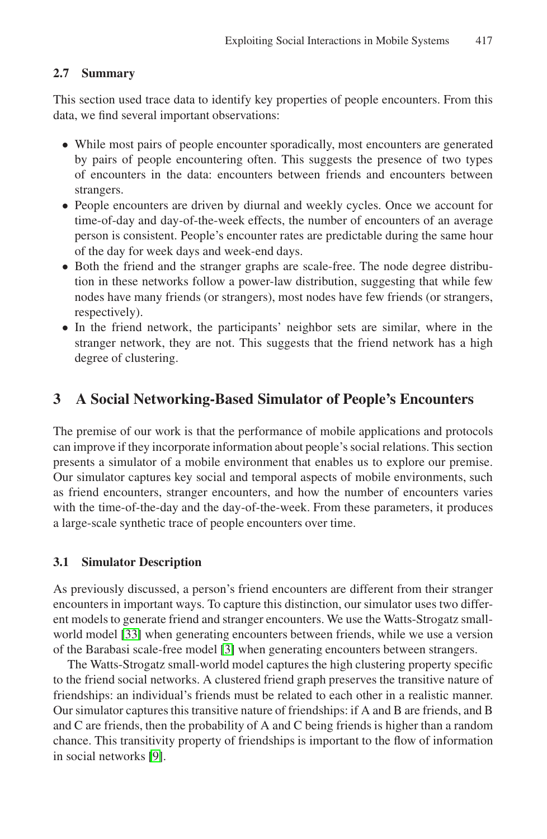# **2.7 Summary**

This section used trace data to identify key properties of people encounters. From this data, we find several important observations:

- While most pairs of people encounter sporadically, most encounters are generated by pairs of people encountering often. This suggests the presence of two types of encounters in the data: encounters between friends and encounters between strangers.
- People encounters are driven by diurnal and weekly cycles. Once we account for time-of-day and day-of-the-week effects, the number of encounters of an average person is consistent. People's encounter rates are predictable during the same hour of the day for week days and week-end days.
- <span id="page-8-0"></span>• Both the friend and the stranger graphs are scale-free. The node degree distribution in these networks follow a power-law distribution, suggesting that while few nodes have many friends (or strangers), most nodes have few friends (or strangers, respectively).
- In the friend network, the participants' neighbor sets are similar, where in the stranger network, they are not. This suggests that the friend network has a high degree of clustering.

# **3 A Social Networking-Based Simulator of People's Encounters**

The premise of our work is that the performance of mobile applications and protocols can improve if they incorporate information about people's social relations. This section presents a simulator of a mobile environment that enables us to explore our premise. Our simulator captures key social and temporal aspects of mobile environments, such as friend encounters, stranger encounters, and how the number of encounters varies with the time-of-the-day and the day-of-the-week. From these parameters, it produces a large-scale [sy](#page-18-3)nthetic trace of people encounters over time.

# **3.1 Simulator Description**

As previously discussed, a person's friend encounters are different from their stranger encounters in important ways. To capture this distinction, our simulator uses two different models to generate friend and stranger encounters. We use the Watts-Strogatz small[w](#page-18-5)orld model [33] when generating encounters between friends, while we use a version of the Barabasi scale-free model [3] when generating encounters between strangers.

The Watts-Strogatz small-world model captures the high clustering property specific to the friend social networks. A clustered friend graph preserves the transitive nature of friendships: an individual's friends must be related to each other in a realistic manner. Our simulator captures this transitive nature of friendships: if A and B are friends, and B and C are friends, then the probability of A and C being friends is higher than a random chance. This transitivity property of friendships is important to the flow of information in social networks [9].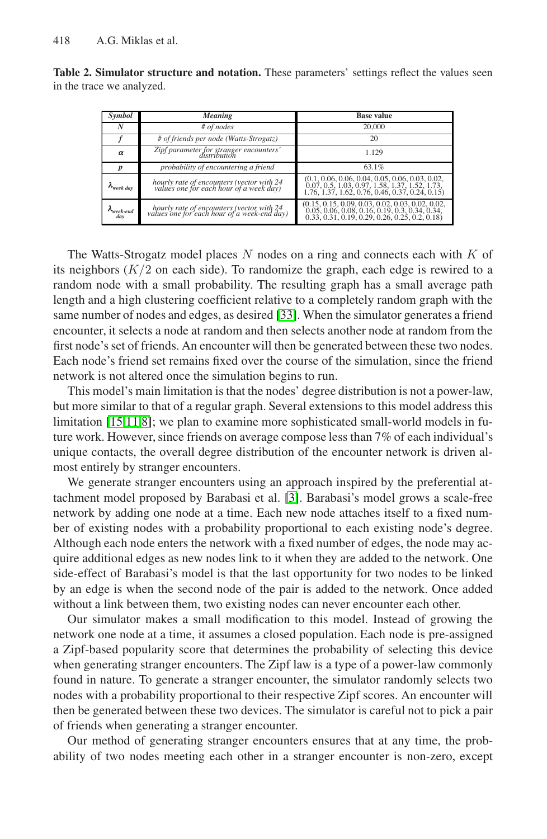| Table 2. Simulator structure and notation. These parameters' settings reflect the values seen |  |  |
|-----------------------------------------------------------------------------------------------|--|--|
| in the trace we analyzed.                                                                     |  |  |

| Symbol           | Meaning                                                                                  | <b>Base value</b>                                                                                                                                |
|------------------|------------------------------------------------------------------------------------------|--------------------------------------------------------------------------------------------------------------------------------------------------|
| $\boldsymbol{N}$ | # of nodes                                                                               | 20,000                                                                                                                                           |
|                  | # of friends per node (Watts-Strogatz)                                                   | 20                                                                                                                                               |
| $\alpha$         | Zipf parameter for stranger encounters'<br>distribution                                  | 1 1 2 9                                                                                                                                          |
|                  | probability of encountering a friend                                                     | 63.1%                                                                                                                                            |
| week day         | hourly rate of encounters (vector with 24<br>values one for each hour of a week day)     | $(0.1, 0.06, 0.06, 0.04, 0.05, 0.06, 0.03, 0.02, 0.07, 0.5, 1.03, 0.97, 1.58, 1.37, 1.52, 1.73, 1.76, 1.37, 1.62, 0.76, 0.46, 0.37, 0.24, 0.15)$ |
| week-end<br>dav  | hourly rate of encounters (vector with 24<br>values one for each hour of a week-end day) | $(0.15, 0.15, 0.09, 0.03, 0.02, 0.03, 0.02, 0.02, 0.05, 0.06, 0.08, 0.16, 0.19, 0.3, 0.34, 0.34, 0.33, 0.31, 0.19, 0.29, 0.26, 0.25, 0.2, 0.18)$ |

The Watts-Strogatz model places  $N$  nodes on a ring and connects each with  $K$  of its neighbors  $(K/2)$  on each side). To randomize the graph, each edge is rewired to a random node with a small probability. The resulting graph has a small average path length and a high clustering coefficient relative to a completely random graph with the same number of nodes and edges, as desired [33]. When the simulator generates a friend encounter, it selects a node at random and then selects another node at random from the first node's set of friends. An encounter will then be generated between these two nodes. Each node's friend set remains fixed over the course of the simulation, since the friend network is not altered on[ce](#page-18-3) the simulation begins to run.

This model's main limitation is that the nodes' degree distribution is not a power-law, but more similar to that of a regular graph. Several extensions to this model address this limitation [15,11,8]; we plan to examine more sophisticated small-world models in future work. However, since friends on average compose less than 7% of each individual's unique contacts, the overall degree distribution of the encounter network is driven almost entirely by stranger encounters.

We generate stranger encounters using an approach inspired by the preferential attachment model proposed by Barabasi et al. [3]. Barabasi's model grows a scale-free network by adding one node at a time. Each new node attaches itself to a fixed number of existing nodes with a probability proportional to each existing node's degree. Although each node enters the network with a fixed number of edges, the node may acquire additional edges as new nodes link to it when they are added to the network. One side-effect of Barabasi's model is that the last opportunity for two nodes to be linked by an edge is when the second node of the pair is added to the network. Once added without a link between them, two existing nodes can never encounter each other.

Our simulator makes a small modification to this model. Instead of growing the network one node at a time, it assumes a closed population. Each node is pre-assigned a Zipf-based popularity score that determines the probability of selecting this device when generating stranger encounters. The Zipf law is a type of a power-law commonly found in nature. To generate a stranger encounter, the simulator randomly selects two nodes with a probability proportional to their respective Zipf scores. An encounter will then be generated between these two devices. The simulator is careful not to pick a pair of friends when generating a stranger encounter.

Our method of generating stranger encounters ensures that at any time, the probability of two nodes meeting each other in a stranger encounter is non-zero, except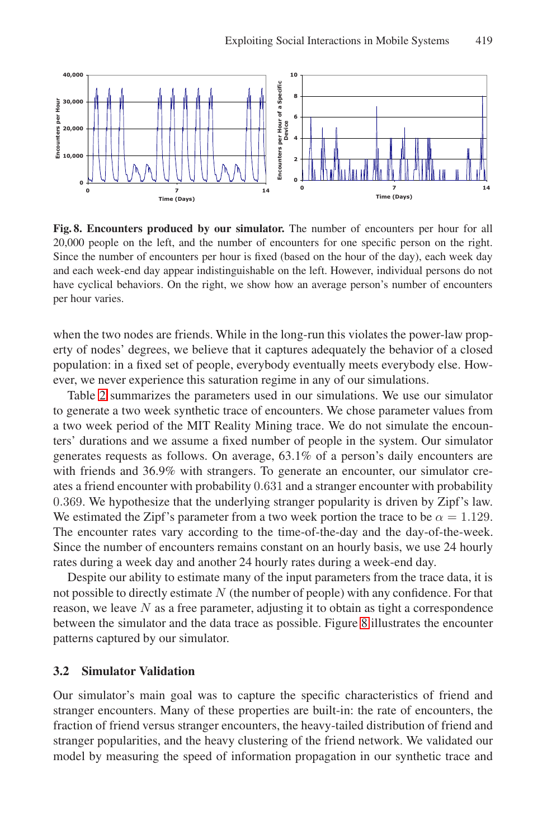<span id="page-10-0"></span>

**Fig. 8. Encounters produced by our simulator.** The number of encounters per hour for all 20,000 people on the left, and the number of encounters for one specific person on the right. Since the number of encounters per hour is fixed (based on the hour of the day), each week day and each week-end day appear indistinguishable on the left. However, individual persons do not have cyclical behaviors. On the right, we show how an average person's number of encounters per hour varies.

when the two nodes are friends. While in the long-run this violates the power-law property of nodes' degrees, we believe that it captures adequately the behavior of a closed population: in a fixed set of people, everybody eventually meets everybody else. However, we never experience this saturation regime in any of our simulations.

Table 2 summarizes the parameters used in our simulations. We use our simulator to generate a two week synthetic trace of encounters. We chose parameter values from a two week period of the MIT Reality Mining trace. We do not simulate the encounters' durations and we assume a fixed number of people in the system. Our simulator generates requests as follows. On average, 63.1% of a person's daily encounters are with friends and 36.9% with strangers. To generate an encounter, our simulator creates a friend encounter with probability 0.631 and a stranger encounter with probability 0.369. We hypothesize that the underly[in](#page-10-0)g stranger popularity is driven by Zipf's law. We estimated the Zipf's parameter from a two week portion the trace to be  $\alpha = 1.129$ . The encounter rates vary according to the time-of-the-day and the day-of-the-week. Since the number of encounters remains constant on an hourly basis, we use 24 hourly rates during a week day and another 24 hourly rates during a week-end day.

Despite our ability to estimate many of the input parameters from the trace data, it is not possible to directly estimate  $N$  (the number of people) with any confidence. For that reason, we leave  $N$  as a free parameter, adjusting it to obtain as tight a correspondence between the simulator and the data trace as possible. Figure 8 illustrates the encounter patterns captured by our simulator.

# **3.2 Simulator Validation**

Our simulator's main goal was to capture the specific characteristics of friend and stranger encounters. Many of these properties are built-in: the rate of encounters, the fraction of friend versus stranger encounters, the heavy-tailed distribution of friend and stranger popularities, and the heavy clustering of the friend network. We validated our model by measuring the speed of information propagation in our synthetic trace and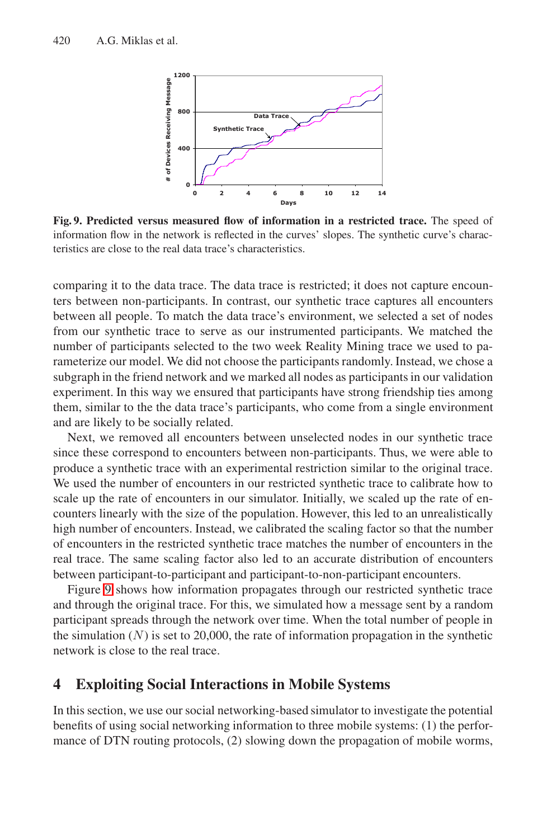

**Fig. 9. Predicted versus measured flow of information in a restricted trace.** The speed of information flow in the network is reflected in the curves' slopes. The synthetic curve's characteristics are close to the real data trace's characteristics.

comparing it to the data trace. The data trace is restricted; it does not capture encounters between non-participants. In contrast, our synthetic trace captures all encounters between all people. To match the data trace's environment, we selected a set of nodes from our synthetic trace to serve as our instrumented participants. We matched the number of participants selected to the two week Reality Mining trace we used to parameterize our model. We did not choose the participants randomly. Instead, we chose a subgraph in the friend network and we marked all nodes as participants in our validation experiment. In this way we ensured that participants have strong friendship ties among them, similar to the the data trace's participants, who come from a single environment and are likely to be socially related.

Next, we removed all encounters between unselected nodes in our synthetic trace since these correspond to encounters between non-participants. Thus, we were able to produce a synthetic trace with an experimental restriction similar to the original trace. We used the number of encounters in our restricted synthetic trace to calibrate how to scale up the rate of encounters in our simulator. Initially, we scaled up the rate of encounters linearly with the size of the population. However, this led to an unrealistically high number of encounters. Instead, we calibrated the scaling factor so that the number of encounters in the restricted synthetic trace matches the number of encounters in the real trace. The same scaling factor also led to an accurate distribution of encounters between participant-to-participant and participant-to-non-participant encounters.

<span id="page-11-0"></span>Figure 9 shows how information propagates through our restricted synthetic trace and through the original trace. For this, we simulated how a message sent by a random participant spreads through the network over time. When the total number of people in the simulation  $(N)$  is set to 20,000, the rate of information propagation in the synthetic network is close to the real trace.

# **4 Exploiting Social Interactions in Mobile Systems**

In this section, we use our social networking-based simulator to investigate the potential benefits of using social networking information to three mobile systems: (1) the performance of DTN routing protocols, (2) slowing down the propagation of mobile worms,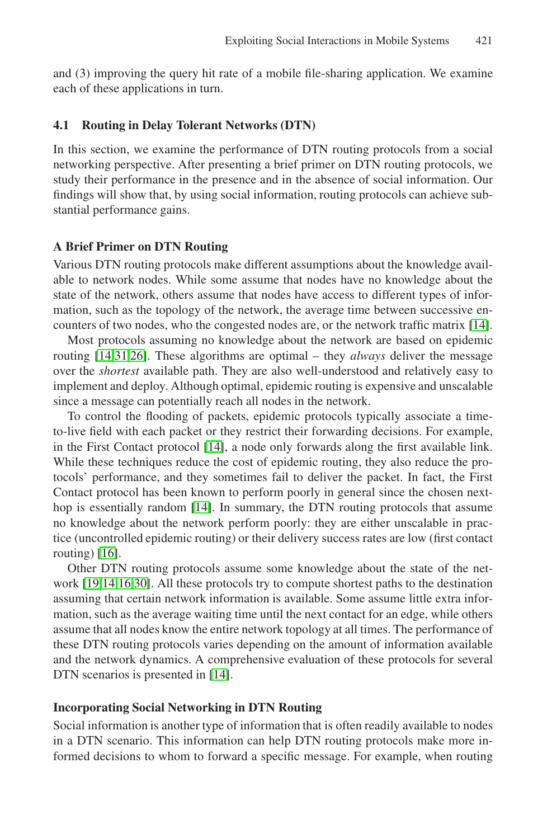and (3) improving the query hit rate of a mobile file-sharing application. We examine each of these applications in turn.

### **4.1 Routing in Delay Tolerant Networks (DTN)**

In this section, we examine the performance of DTN routing protocols from a social networking perspective. After presenting a brief primer on DTN routing protocols, we study their performance in the presence and in the absence of social information. Our findings will show that, by using social information, routing protocols can achieve substantial performance gains.

# **A Brief Primer on DTN Routing**

Various DTN routing protocols make different assumptions about the knowledge available to network nodes. While some assume that nodes have no knowledge about the state of the network, others assume that nodes have access to different types of information, such as the topology of the network, the average time between successive encounters [of t](#page-18-6)wo nodes, who the congested nodes are, or the network traffic matrix [14].

Most protocols assuming no knowledge about the network are based on epidemic routing [14,31,26]. These algorithms are optimal – they *always* deliver the message over the *shortest* available path. They are also well-understood and relatively easy to imple[men](#page-18-6)t and deploy. Although optimal, epidemic routing is expensive and unscalable since a message can potentially reach all nodes in the network.

To control the flooding of packets, epidemic protocols typically associate a timeto-live field with each packet or they restrict their forwarding decisions. For example, in the First Contact protocol [14], a node only forwards along the first available link. While these techniques reduce the cost of epidemic routing, they also reduce the protocols' performance, and they sometimes fail to deliver the packet. In fact, the First Contact protocol has been known to perform poorly in general since the chosen nexthop is essentially random [14]. In summary, the DTN routing protocols that assume no knowledge about the network perform poorly: they are either unscalable in practice (uncontrolled epidemic routing) or their delivery success rates are low (first contact routing)  $[16]$ .

Other DTN routing protocols assume some knowledge about the state of the network [19,14,16,30]. All these protocols try to compute shortest paths to the destination assuming that certain network information is available. Some assume little extra information, such as the average waiting time until the next contact for an edge, while others assume that all nodes know the entire network topology at all times. The performance of these DTN routing protocols varies depending on the amount of information available and the network dynamics. A comprehensive evaluation of these protocols for several DTN scenarios is presented in [14].

# **Incorporating Social Networking in DTN Routing**

Social information is another type of information that is often readily available to nodes in a DTN scenario. This information can help DTN routing protocols make more informed decisions to whom to forward a specific message. For example, when routing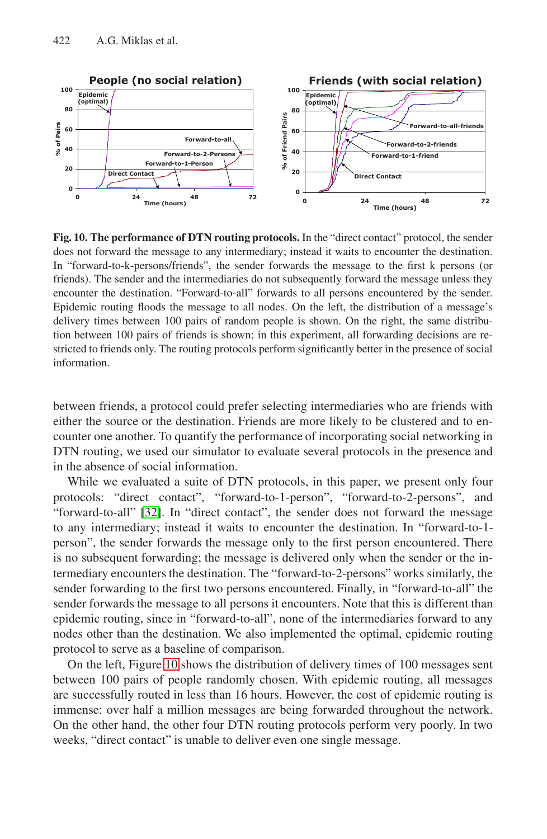<span id="page-13-0"></span>

**Fig. 10. The performance of DTN routing protocols.** In the "direct contact" protocol, the sender does not forward the message to any intermediary; instead it waits to encounter the destination. In "forward-to-k-persons/friends", the sender forwards the message to the first k persons (or friends). The sender and the intermediaries do not subsequently forward the message unless they encounter the destination. "Forward-to-all" forwards to all persons encountered by the sender. Epidemic routing floods the message to all nodes. On the left, the distribution of a message's delivery times between 100 pairs of random people is shown. On the right, the same distribution between 100 pairs of friends is shown; in this experiment, all forwarding decisions are restricted to friends only. The routing protocols perform significantly better in the presence of social information.

[b](#page-19-3)etween friends, a protocol could prefer selecting intermediaries who are friends with either the source or the destination. Friends are more likely to be clustered and to encounter one another. To quantify the performance of incorporating social networking in DTN routing, we used our simulator to evaluate several protocols in the presence and in the absence of social information.

While we evaluated a suite of DTN protocols, in this paper, we present only four protocols: "direct contact", "forward-to-1-person", "forward-to-2-persons", and "forward-to-all" [32]. In "direct contact", the sender does not forward the message to any intermediary; instead it waits to encounter the destination. In "forward-to-1 [pers](#page-13-0)on", the sender forwards the message only to the first person encountered. There is no subsequent forwarding; the message is delivered only when the sender or the intermediary encounters the destination. The "forward-to-2-persons" works similarly, the sender forwarding to the first two persons encountered. Finally, in "forward-to-all" the sender forwards the message to all persons it encounters. Note that this is different than epidemic routing, since in "forward-to-all", none of the intermediaries forward to any nodes other than the destination. We also implemented the optimal, epidemic routing protocol to serve as a baseline of comparison.

On the left, Figure 10 shows the distribution of delivery times of 100 messages sent between 100 pairs of people randomly chosen. With epidemic routing, all messages are successfully routed in less than 16 hours. However, the cost of epidemic routing is immense: over half a million messages are being forwarded throughout the network. On the other hand, the other four DTN routing protocols perform very poorly. In two weeks, "direct contact" is unable to deliver even one single message.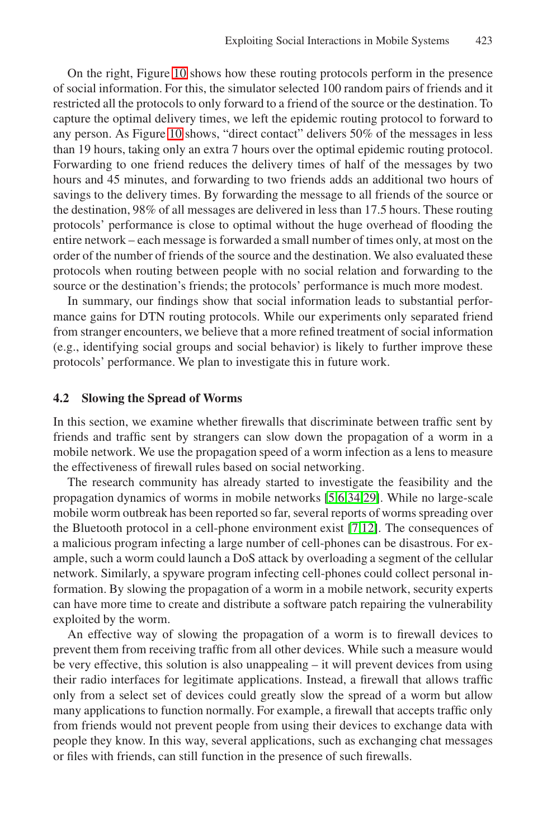On the right, Figure 10 shows how these routing protocols perform in the presence of social information. For this, the simulator selected 100 random pairs of friends and it restricted all the protocols to only forward to a friend of the source or the destination. To capture the optimal delivery times, we left the epidemic routing protocol to forward to any person. As Figure 10 shows, "direct contact" delivers 50% of the messages in less than 19 hours, taking only an extra 7 hours over the optimal epidemic routing protocol. Forwarding to one friend reduces the delivery times of half of the messages by two hours and 45 minutes, and forwarding to two friends adds an additional two hours of savings to the delivery times. By forwarding the message to all friends of the source or the destination, 98% of all messages are delivered in less than 17.5 hours. These routing protocols' performance is close to optimal without the huge overhead of flooding the entire network – each message is forwarded a small number of times only, at most on the order of the number of friends of the source and the destination. We also evaluated these protocols when routing between people with no social relation and forwarding to the source or the destination's friends; the protocols' performance is much more modest.

In summary, our findings show that social information leads to substantial performance gains for DTN routing protocols. While our experiments only separated friend from stranger encounters, we believe that a more refined treatment of social information (e.g., identifying social groups and social behavior) is likely to further improve these protocols' performance. We plan to investigate this in future work.

### **4.2 Slowing the Spread of Worms**

In this section, we examine whether [fir](#page-18-7)[ewa](#page-18-8)lls that discriminate between traffic sent by friends and traffic sent by strangers can slow down the propagation of a worm in a mobile network. We use the propagation speed of a worm infection as a lens to measure the effectiveness of firewall rules based on social networking.

The research community has already started to investigate the feasibility and the propagation dynamics of worms in mobile networks [5,6,34,29]. While no large-scale mobile worm outbreak has been reported so far, several reports of worms spreading over the Bluetooth protocol in a cell-phone environment exist [7,12]. The consequences of a malicious program infecting a large number of cell-phones can be disastrous. For example, such a worm could launch a DoS attack by overloading a segment of the cellular network. Similarly, a spyware program infecting cell-phones could collect personal information. By slowing the propagation of a worm in a mobile network, security experts can have more time to create and distribute a software patch repairing the vulnerability exploited by the worm.

An effective way of slowing the propagation of a worm is to firewall devices to prevent them from receiving traffic from all other devices. While such a measure would be very effective, this solution is also unappealing – it will prevent devices from using their radio interfaces for legitimate applications. Instead, a firewall that allows traffic only from a select set of devices could greatly slow the spread of a worm but allow many applications to function normally. For example, a firewall that accepts traffic only from friends would not prevent people from using their devices to exchange data with people they know. In this way, several applications, such as exchanging chat messages or files with friends, can still function in the presence of such firewalls.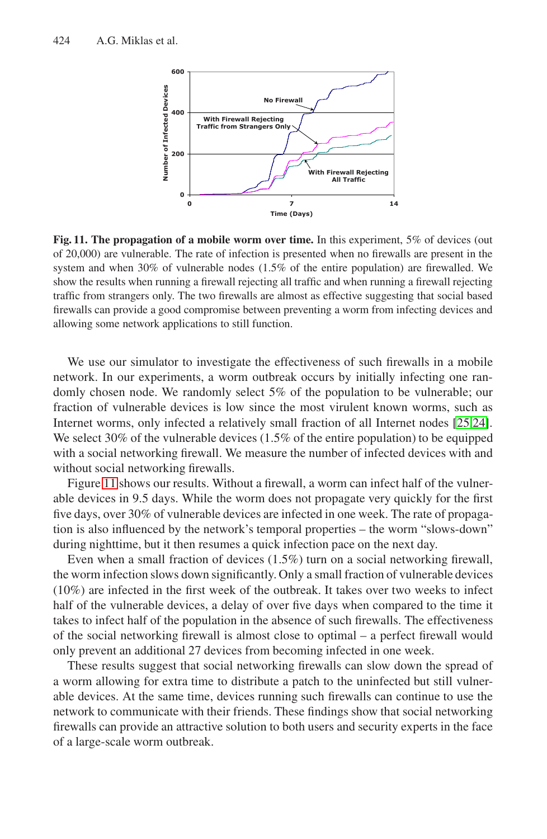

**Fig. 11. The propagation of a mobile worm over time.** In this experiment, 5% of devices (out of 20,000) are vulnerable. The rate of infection is presented when no firewalls are present in the system and when 30% of vulnerable nodes (1.5% of the entire population) are firewalled. We show the results when running a firewall rejecting all traffic and when running a firewall rejecting traffic from strangers only. The two firewalls are almost as effective suggesting that social based firewalls can provide a good compromise between preventing a [worm](#page-19-4) [fro](#page-19-5)m infecting devices and allowing some network applications to still function.

We use our simulator to investigate the effectiveness of such firewalls in a mobile network. In our experiments, a worm outbreak occurs by initially infecting one randomly chosen node. We randomly select 5% of the population to be vulnerable; our fraction of vulnerable devices is low since the most virulent known worms, such as Internet worms, only infected a relatively small fraction of all Internet nodes [25,24]. We select 30% of the vulnerable devices (1.5% of the entire population) to be equipped with a social networking firewall. We measure the number of infected devices with and without social networking firewalls.

Figure 11 shows our results. Without a firewall, a worm can infect half of the vulnerable devices in 9.5 days. While the worm does not propagate very quickly for the first five days, over 30% of vulnerable devices are infected in one week. The rate of propagation is also influenced by the network's temporal properties – the worm "slows-down" during nighttime, but it then resumes a quick infection pace on the next day.

Even when a small fraction of devices (1.5%) turn on a social networking firewall, the worm infection slows down significantly. Only a small fraction of vulnerable devices (10%) are infected in the first week of the outbreak. It takes over two weeks to infect half of the vulnerable devices, a delay of over five days when compared to the time it takes to infect half of the population in the absence of such firewalls. The effectiveness of the social networking firewall is almost close to optimal – a perfect firewall would only prevent an additional 27 devices from becoming infected in one week.

These results suggest that social networking firewalls can slow down the spread of a worm allowing for extra time to distribute a patch to the uninfected but still vulnerable devices. At the same time, devices running such firewalls can continue to use the network to communicate with their friends. These findings show that social networking firewalls can provide an attractive solution to both users and security experts in the face of a large-scale worm outbreak.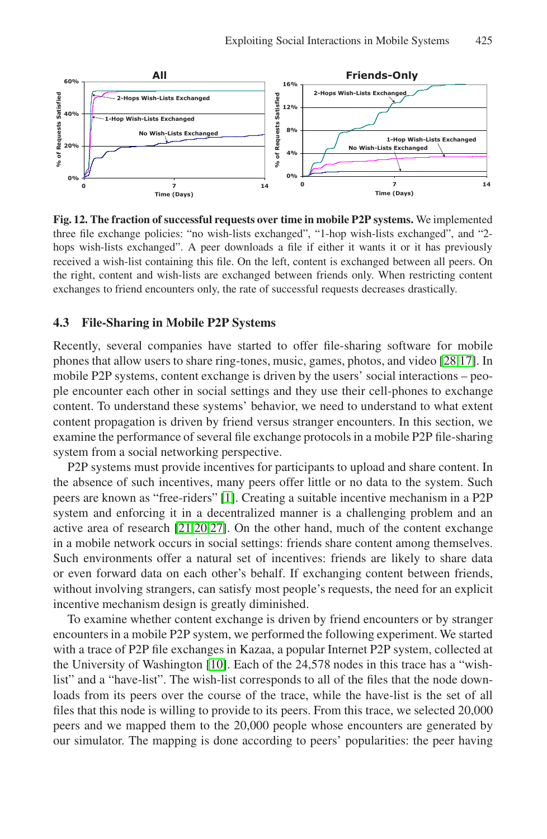<span id="page-16-0"></span>

**Fig. 12. The fraction of successful requests over time in mobile P2P systems.** We implemented three file exchange policies: "no wish-lists exchanged", "1-hop wish-lists exchanged", and "2 hops wish-lists exchanged". A peer downloads a file if eith[er](#page-19-6) [i](#page-19-6)[t](#page-18-9) [wa](#page-18-9)nts it or it has previously received a wish-list containing this file. On the left, content is exchanged between all peers. On the right, content and wish-lists are exchanged between friends only. When restricting content exchanges to friend encounters only, the rate of successful requests decreases drastically.

# **4.3 File-Sharing in Mobile P2P Systems**

Recently, several companies have started to offer file-sharing software for mobile phones that allow users to share ring-tones, music, games, photos, and video [28,17]. In mobile P2P [sys](#page-18-10)tems, content exchange is driven by the users' social interactions – people encounter each other in social settings and they use their cell-phones to exchange con[ten](#page-19-7)[t. T](#page-19-8)[o u](#page-19-9)nderstand these systems' behavior, we need to understand to what extent content propagation is driven by friend versus stranger encounters. In this section, we examine the performance of several file exchange protocols in a mobile P2P file-sharing system from a social networking perspective.

P2P systems must provide incentives for participants to upload and share content. In the absence of such incentives, many peers offer little or no data to the system. Such peers are known as "free-riders" [1]. Creating a suitable incentive mechanism in a P2P system and enforcing it in a decentralized manner is a challenging problem and an active area of research [21,20,27]. On the other hand, much of the content exchange in a mobi[le n](#page-18-11)etwork occurs in social settings: friends share content among themselves. Such environments offer a natural set of incentives: friends are likely to share data or even forward data on each other's behalf. If exchanging content between friends, without involving strangers, can satisfy most people's requests, the need for an explicit incentive mechanism design is greatly diminished.

To examine whether content exchange is driven by friend encounters or by stranger encounters in a mobile P2P system, we performed the following experiment. We started with a trace of P2P file exchanges in Kazaa, a popular Internet P2P system, collected at the University of Washington [10]. Each of the 24,578 nodes in this trace has a "wishlist" and a "have-list". The wish-list corresponds to all of the files that the node downloads from its peers over the course of the trace, while the have-list is the set of all files that this node is willing to provide to its peers. From this trace, we selected 20,000 peers and we mapped them to the 20,000 people whose encounters are generated by our simulator. The mapping is done according to peers' popularities: the peer having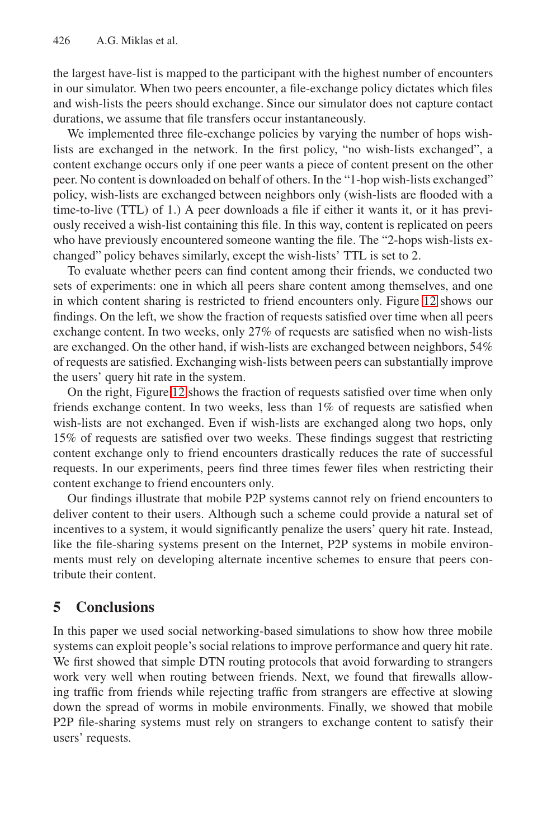the largest have-list is mapped to the participant with the highest number of encounters in our simulator. When two peers encounter, a file-exchange policy dictates which files and wish-lists the peers should exchange. Since our simulator does not capture contact durations, we assume that file transfers occur instantaneously.

We implemented three file-exchange policies by varying the number of hops wishlists are exchanged in the network. In the first policy, "no wish-lists exchanged", a content exchange occurs only if one peer wants a piece of content present on the other peer. No content is downloaded on behalf of others. [In th](#page-16-0)e "1-hop wish-lists exchanged" policy, wish-lists are exchanged between neighbors only (wish-lists are flooded with a time-to-live (TTL) of 1.) A peer downloads a file if either it wants it, or it has previously received a wish-list containing this file. In this way, content is replicated on peers who have previously encountered someone wanting the file. The "2-hops wish-lists exchanged" policy behaves similarly, except the wish-lists' TTL is set to 2.

[To](#page-16-0) evaluate whether peers can find content among their friends, we conducted two sets of experiments: one in which all peers share content among themselves, and one in which content sharing is restricted to friend encounters only. Figure 12 shows our findings. On the left, we show the fraction of requests satisfied over time when all peers exchange content. In two weeks, only 27% of requests are satisfied when no wish-lists are exchanged. On the other hand, if wish-lists are exchanged between neighbors, 54% of requests are satisfied. Exchanging wish-lists between peers can substantially improve the users' query hit rate in the system.

On the right, Figure 12 shows the fraction of requests satisfied over time when only friends exchange content. In two weeks, less than 1% of requests are satisfied when wish-lists are not exchanged. Even if wish-lists are exchanged along two hops, only 15% of requests are satisfied over two weeks. These findings suggest that restricting content exchange only to friend encounters drastically reduces the rate of successful requests. In our experiments, peers find three times fewer files when restricting their content exchange to friend encounters only.

<span id="page-17-0"></span>Our findings illustrate that mobile P2P systems cannot rely on friend encounters to deliver content to their users. Although such a scheme could provide a natural set of incentives to a system, it would significantly penalize the users' query hit rate. Instead, like the file-sharing systems present on the Internet, P2P systems in mobile environments must rely on developing alternate incentive schemes to ensure that peers contribute their content.

# **5 Conclusions**

In this paper we used social networking-based simulations to show how three mobile systems can exploit people's social relations to improve performance and query hit rate. We first showed that simple DTN routing protocols that avoid forwarding to strangers work very well when routing between friends. Next, we found that firewalls allowing traffic from friends while rejecting traffic from strangers are effective at slowing down the spread of worms in mobile environments. Finally, we showed that mobile P2P file-sharing systems must rely on strangers to exchange content to satisfy their users' requests.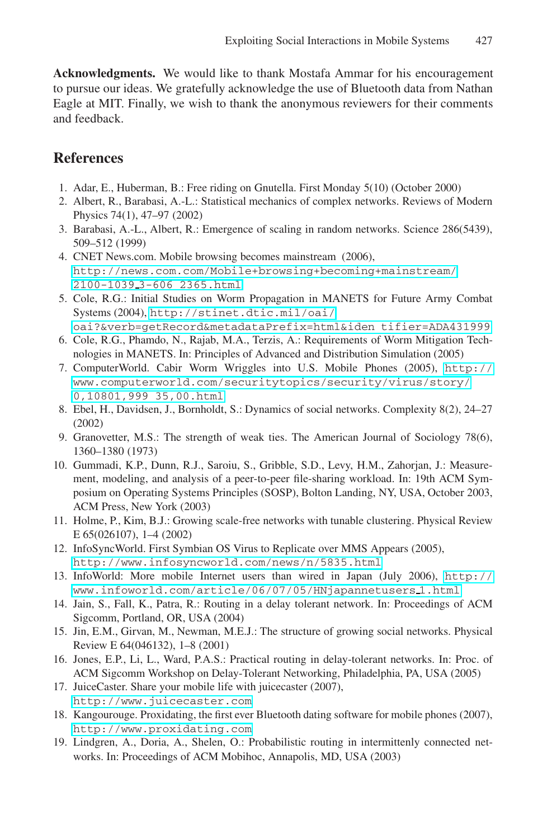<span id="page-18-10"></span><span id="page-18-4"></span><span id="page-18-3"></span>**Acknowledgments.** We would like to thank Mostafa Ammar for his encouragement to pursue our ideas. We gratefully acknowledge the use of Bluetooth data from Nathan Eagle at MIT. Finally, we wish to thank the anonymous reviewers for their comments and feedback.

# <span id="page-18-1"></span>**[References](http://Mobile+browsing+becoming+mainstream/2100-1039_3-606 2365.html)**

- 1. Adar, E., Huberman, B.: Free riding on Gnutella. First Monday 5(10) (October 2000)
- [2. Albert, R., Barabasi, A.-L.: Statistical mechanics of complex network](http://stinet.dtic.mil/oai/oai?&verb=getRecord&metadataPrefix=html&iden tifier=ADA431999)s. Reviews of Modern Physics 74(1), 47–97 (2002)
- <span id="page-18-7"></span>3. Barabasi, A.-L., Albert, R.: Emergence of scaling in random networks. Science 286(5439), 509–512 (1999)
- 4. CNET News.com. Mobile browsing becomes mainstream [\(2006\),](http://www.computerworld.com/securitytopics/security/virus/story/0,10801,999 35,00.html) [http://news.com.com/Mobile+browsing+becomin](http://www.computerworld.com/securitytopics/security/virus/story/0,10801,999 35,00.html)g+mainstream/ [2100-10](http://www.computerworld.com/securitytopics/security/virus/story/0,10801,999 35,00.html)39 3-606 2365.html
- <span id="page-18-5"></span>5. Cole, R.G.: Initial Studies on Worm Propagation in MANETS for Future Army Combat Systems (2004), http://stinet.dtic.mil/oai/
- <span id="page-18-11"></span>oai?&verb=getRecord&metadataPrefix=html&iden tifier=ADA431999 6. Cole, R.G., Phamdo, N., Rajab, M.A., Terzis, A.: Requirements of Worm Mitigation Technologies in MANETS. In: Principles of Advanced and Distribution Simulation (2005)
- 7. ComputerWorld. Cabir Worm Wriggles into U.S. Mobile Phones (2005), http:// www.computerworld.com/securitytopics/security/virus/story/ 0,10801,999 35,00.html
- <span id="page-18-8"></span>8. Ebel, H., Davidsen, J., Bornholdt, S.: Dynamics of social networks. Complexity 8(2), 24–27 (2002)
- [9. Granovetter, M.S.: The strength of weak tie](http://www.infosyncworld.com/news/n/5835.html)s. The American Journal of Sociology 78(6), 1360–1380 (1973)
- <span id="page-18-6"></span><span id="page-18-0"></span>10. Gummadi, K.P., Dunn, R.J., Saroiu, S., Gribble, S.D., L[evy,](http://www.infoworld.com/article/06/07/05/HNjapannetusers_1.html) [H.M.,](http://www.infoworld.com/article/06/07/05/HNjapannetusers_1.html) [Z](http://www.infoworld.com/article/06/07/05/HNjapannetusers_1.html)ahorjan, J.: Measure[ment,](http://www.infoworld.com/article/06/07/05/HNjapannetusers_1.html) [modeling,](http://www.infoworld.com/article/06/07/05/HNjapannetusers_1.html) [and](http://www.infoworld.com/article/06/07/05/HNjapannetusers_1.html) [analysis](http://www.infoworld.com/article/06/07/05/HNjapannetusers_1.html) [of](http://www.infoworld.com/article/06/07/05/HNjapannetusers_1.html) [a](http://www.infoworld.com/article/06/07/05/HNjapannetusers_1.html) [peer-to-peer](http://www.infoworld.com/article/06/07/05/HNjapannetusers_1.html) [file-sharing](http://www.infoworld.com/article/06/07/05/HNjapannetusers_1.html) [w](http://www.infoworld.com/article/06/07/05/HNjapannetusers_1.html)orkload. In: 19th ACM Symposium on Operating Systems Principles (SOSP), Bolton Landing, NY, USA, October 2003, ACM Press, New York (2003)
- 11. Holme, P., Kim, B.J.: Growing scale-free networks with tunable clustering. Physical Review E 65(026107), 1–4 (2002)
- <span id="page-18-9"></span>12. InfoSyncWorld. First Symbian OS Virus to Replicate over MMS Appears (2005), http://www.infosyncworld.com/news/n/5835.html
- <span id="page-18-2"></span>13. InfoWorld: More mobile Internet users than wired in Japan (July 2006), http:// [www.infowor](http://www.juicecaster.com)ld.com/article/06/07/05/HNjapannetusers 1.html
- 14. Jain, S., Fall, K., Patra, R.: Routing in a delay tolerant network. In: Proceedings of ACM [Sigcomm,](http://www.proxidating.com) [Portla](http://www.proxidating.com)nd, OR, USA (2004)
- 15. Jin, E.M., Girvan, M., Newman, M.E.J.: The structure of growing social networks. Physical Review E 64(046132), 1–8 (2001)
- 16. Jones, E.P., Li, L., Ward, P.A.S.: Practical routing in delay-tolerant networks. In: Proc. of ACM Sigcomm Workshop on Delay-Tolerant Networking, Philadelphia, PA, USA (2005)
- 17. JuiceCaster. Share your mobile life with juicecaster (2007), http://www.juicecaster.com
- 18. Kangourouge. Proxidating, the first ever Bluetooth dating software for mobile phones (2007), http://www.proxidating.com
- 19. Lindgren, A., Doria, A., Shelen, O.: Probabilistic routing in intermittenly connected networks. In: Proceedings of ACM Mobihoc, Annapolis, MD, USA (2003)